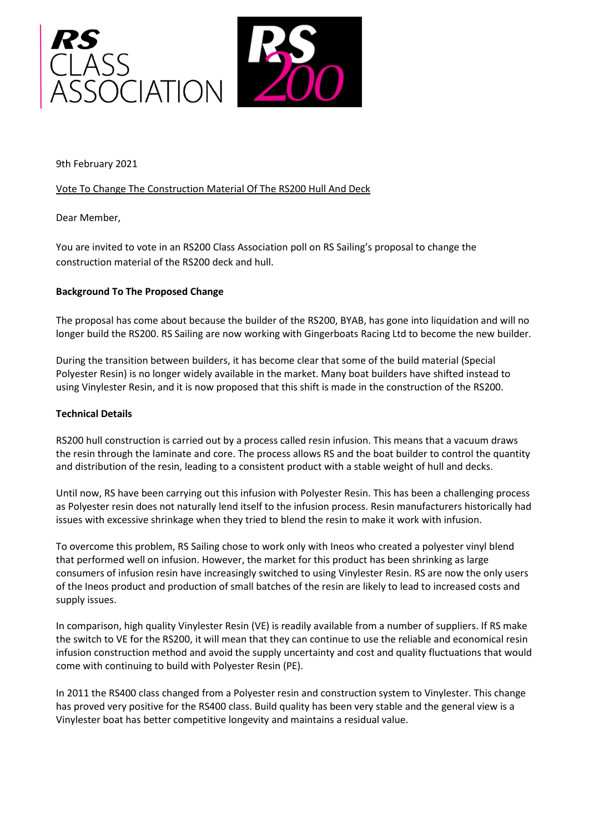

9th February 2021

# Vote To Change The Construction Material Of The RS200 Hull And Deck

Dear Member,

You are invited to vote in an RS200 Class Association poll on RS Sailing's proposal to change the construction material of the RS200 deck and hull.

# **Background To The Proposed Change**

The proposal has come about because the builder of the RS200, BYAB, has gone into liquidation and will no longer build the RS200. RS Sailing are now working with Gingerboats Racing Ltd to become the new builder.

During the transition between builders, it has become clear that some of the build material (Special Polyester Resin) is no longer widely available in the market. Many boat builders have shifted instead to using Vinylester Resin, and it is now proposed that this shift is made in the construction of the RS200.

### **Technical Details**

RS200 hull construction is carried out by a process called resin infusion. This means that a vacuum draws the resin through the laminate and core. The process allows RS and the boat builder to control the quantity and distribution of the resin, leading to a consistent product with a stable weight of hull and decks.

Until now, RS have been carrying out this infusion with Polyester Resin. This has been a challenging process as Polyester resin does not naturally lend itself to the infusion process. Resin manufacturers historically had issues with excessive shrinkage when they tried to blend the resin to make it work with infusion.

To overcome this problem, RS Sailing chose to work only with Ineos who created a polyester vinyl blend that performed well on infusion. However, the market for this product has been shrinking as large consumers of infusion resin have increasingly switched to using Vinylester Resin. RS are now the only users of the Ineos product and production of small batches of the resin are likely to lead to increased costs and supply issues.

In comparison, high quality Vinylester Resin (VE) is readily available from a number of suppliers. If RS make the switch to VE for the RS200, it will mean that they can continue to use the reliable and economical resin infusion construction method and avoid the supply uncertainty and cost and quality fluctuations that would come with continuing to build with Polyester Resin (PE).

In 2011 the RS400 class changed from a Polyester resin and construction system to Vinylester. This change has proved very positive for the RS400 class. Build quality has been very stable and the general view is a Vinylester boat has better competitive longevity and maintains a residual value.